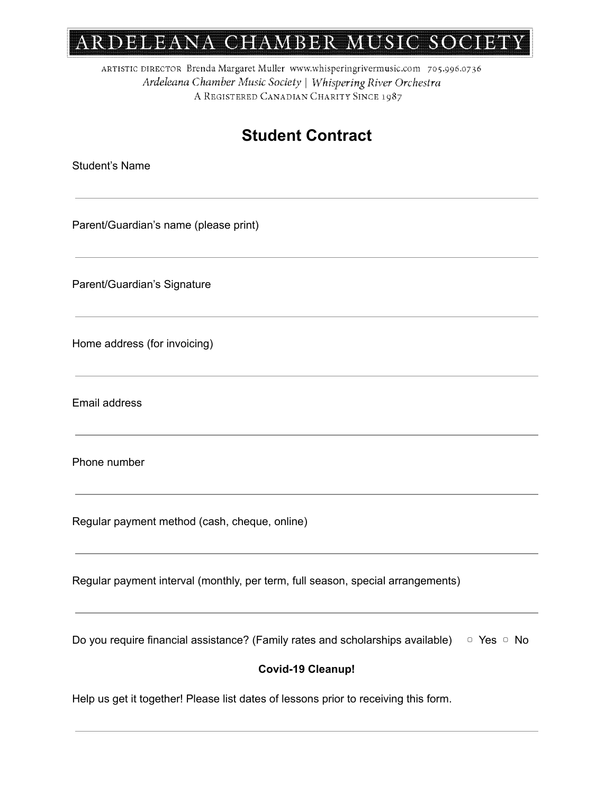# ARDELEANA CHAMBER MUSIC SOCIETY

ARTISTIC DIRECTOR Brenda Margaret Muller www.whisperingrivermusic.com 705.996.0736 Ardeleana Chamber Music Society | Whispering River Orchestra A REGISTERED CANADIAN CHARITY SINCE 1987

## **Student Contract**

Student's Name

Parent/Guardian's name (please print)

Parent/Guardian's Signature

Home address (for invoicing)

Email address

Phone number

Regular payment method (cash, cheque, online)

Regular payment interval (monthly, per term, full season, special arrangements)

Do you require financial assistance? (Family rates and scholarships available) □ Yes □ No

#### **Covid-19 Cleanup!**

Help us get it together! Please list dates of lessons prior to receiving this form.